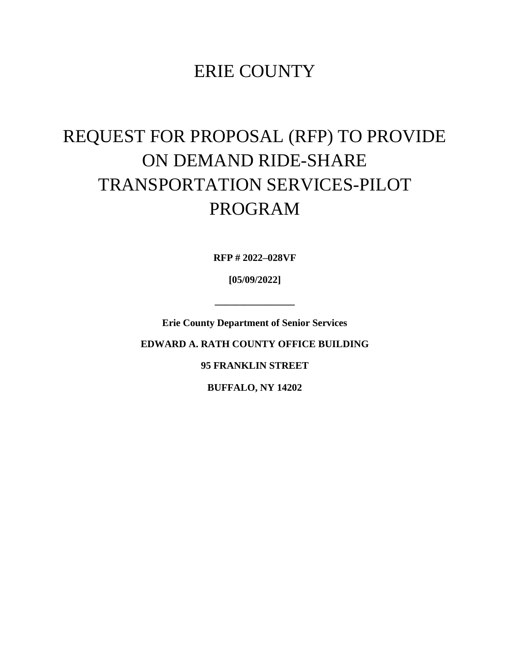## ERIE COUNTY

# REQUEST FOR PROPOSAL (RFP) TO PROVIDE ON DEMAND RIDE-SHARE TRANSPORTATION SERVICES-PILOT PROGRAM

**RFP # 2022–028VF**

**[05/09/2022]**

**\_\_\_\_\_\_\_\_\_\_\_\_\_\_\_\_**

**Erie County Department of Senior Services**

**EDWARD A. RATH COUNTY OFFICE BUILDING**

**95 FRANKLIN STREET**

**BUFFALO, NY 14202**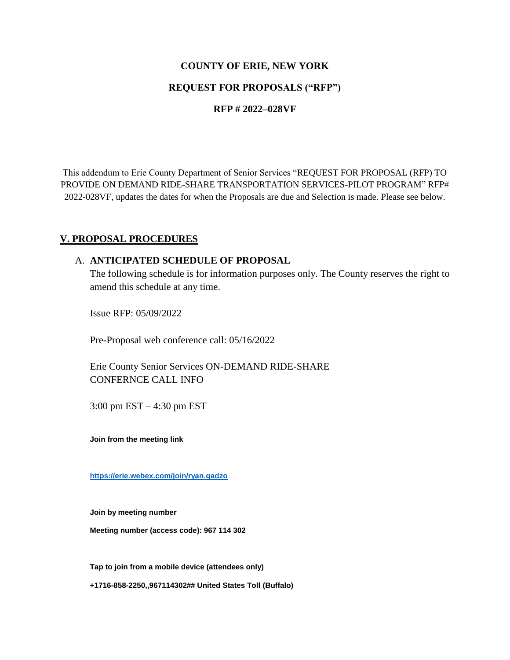#### **COUNTY OF ERIE, NEW YORK**

### **REQUEST FOR PROPOSALS ("RFP")**

#### **RFP # 2022–028VF**

This addendum to Erie County Department of Senior Services "REQUEST FOR PROPOSAL (RFP) TO PROVIDE ON DEMAND RIDE-SHARE TRANSPORTATION SERVICES-PILOT PROGRAM" RFP# 2022-028VF, updates the dates for when the Proposals are due and Selection is made. Please see below.

#### **V. PROPOSAL PROCEDURES**

#### A. **ANTICIPATED SCHEDULE OF PROPOSAL**

The following schedule is for information purposes only. The County reserves the right to amend this schedule at any time.

Issue RFP: 05/09/2022

Pre-Proposal web conference call: 05/16/2022

Erie County Senior Services ON-DEMAND RIDE-SHARE CONFERNCE CALL INFO

3:00 pm EST – 4:30 pm EST

**Join from the meeting link**

**<https://erie.webex.com/join/ryan.gadzo>**

**Join by meeting number**

**Meeting number (access code): 967 114 302**

**Tap to join from a mobile device (attendees only)** 

**+1716-858-2250,,967114302## United States Toll (Buffalo)**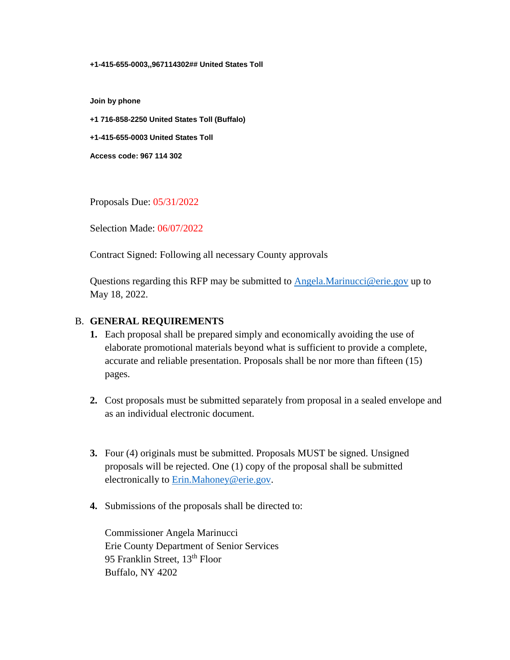#### **+1-415-655-0003,,967114302## United States Toll**

**Join by phone** 

**+1 716-858-2250 United States Toll (Buffalo)** 

**+1-415-655-0003 United States Toll** 

**Access code: 967 114 302** 

Proposals Due: 05/31/2022

Selection Made: 06/07/2022

Contract Signed: Following all necessary County approvals

Questions regarding this RFP may be submitted to [Angela.Marinucci@erie.gov](mailto:Angela.Marinucci@erie.gov) up to May 18, 2022.

#### B. **GENERAL REQUIREMENTS**

- **1.** Each proposal shall be prepared simply and economically avoiding the use of elaborate promotional materials beyond what is sufficient to provide a complete, accurate and reliable presentation. Proposals shall be nor more than fifteen (15) pages.
- **2.** Cost proposals must be submitted separately from proposal in a sealed envelope and as an individual electronic document.
- **3.** Four (4) originals must be submitted. Proposals MUST be signed. Unsigned proposals will be rejected. One (1) copy of the proposal shall be submitted electronically to [Erin.Mahoney@erie.gov.](mailto:Erin.Mahoney@erie.gov)
- **4.** Submissions of the proposals shall be directed to:

Commissioner Angela Marinucci Erie County Department of Senior Services 95 Franklin Street, 13<sup>th</sup> Floor Buffalo, NY 4202